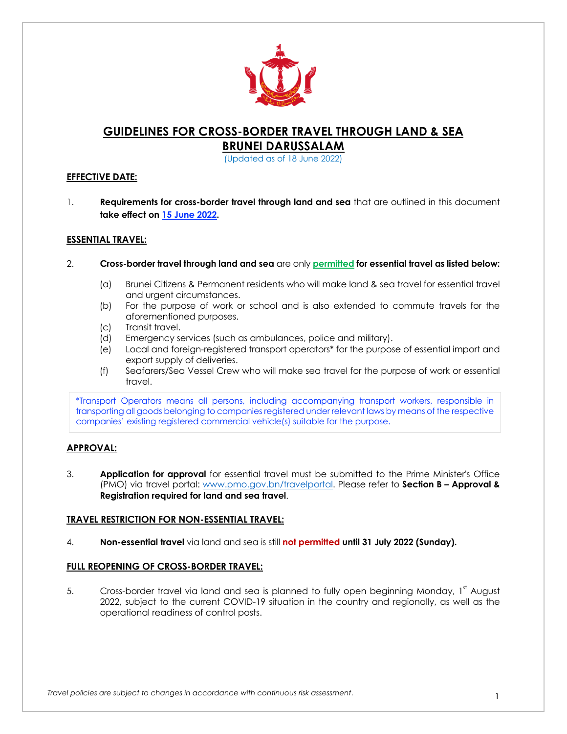

# **GUIDELINES FOR CROSS-BORDER TRAVEL THROUGH LAND & SEA BRUNEI DARUSSALAM**

(Updated as of 18 June 2022)

## **EFFECTIVE DATE:**

1. **Requirements for cross-border travel through land and sea** that are outlined in this document **take effect on 15 June 2022.** 

## **ESSENTIAL TRAVEL:**

- 2. **Cross-border travel through land and sea** are only **permitted for essential travel as listed below:**
	- (a) Brunei Citizens & Permanent residents who will make land & sea travel for essential travel and urgent circumstances.
	- (b) For the purpose of work or school and is also extended to commute travels for the aforementioned purposes.
	- (c) Transit travel.
	- (d) Emergency services (such as ambulances, police and military).
	- (e) Local and foreign-registered transport operators\* for the purpose of essential import and export supply of deliveries.
	- (f) Seafarers/Sea Vessel Crew who will make sea travel for the purpose of work or essential travel.

\*Transport Operators means all persons, including accompanying transport workers, responsible in transporting all goods belonging to companies registered under relevant laws by means of the respective companies' existing registered commercial vehicle(s) suitable for the purpose.

# **APPROVAL:**

3. **Application for approval** for essential travel must be submitted to the Prime Minister's Office (PMO) via travel portal: www.pmo.gov.bn/travelportal. Please refer to **Section B – Approval & Registration required for land and sea travel**.

# **TRAVEL RESTRICTION FOR NON-ESSENTIAL TRAVEL:**

4. **Non-essential travel** via land and sea is still **not permitted until 31 July 2022 (Sunday).**

### **FULL REOPENING OF CROSS-BORDER TRAVEL:**

5. Cross-border travel via land and sea is planned to fully open beginning Monday, 1<sup>st</sup> August 2022, subject to the current COVID-19 situation in the country and regionally, as well as the operational readiness of control posts.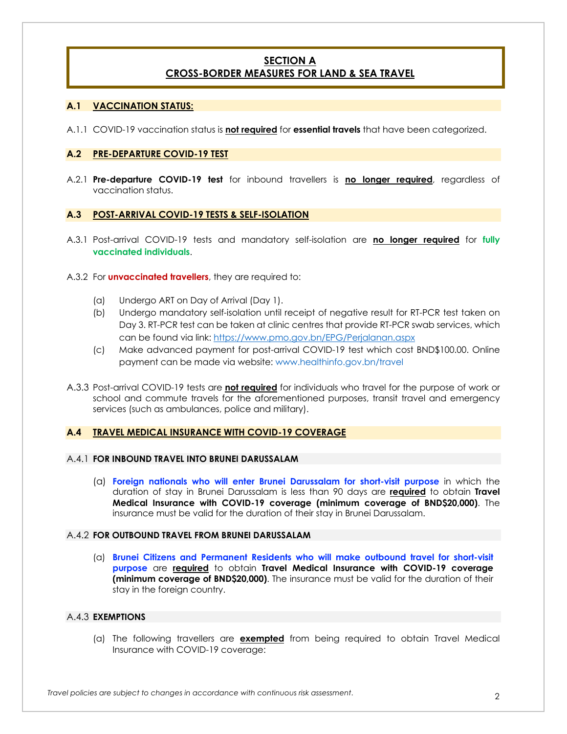# **SECTION A CROSS-BORDER MEASURES FOR LAND & SEA TRAVEL**

### **A.1 VACCINATION STATUS:**

A.1.1 COVID-19 vaccination status is **not required** for **essential travels** that have been categorized.

### **A.2 PRE-DEPARTURE COVID-19 TEST**

A.2.1 **Pre-departure COVID-19 test** for inbound travellers is **no longer required**, regardless of vaccination status.

#### **A.3 POST-ARRIVAL COVID-19 TESTS & SELF-ISOLATION**

- A.3.1 Post-arrival COVID-19 tests and mandatory self-isolation are **no longer required** for **fully vaccinated individuals**.
- A.3.2 For **unvaccinated travellers**, they are required to:
	- (a) Undergo ART on Day of Arrival (Day 1).
	- (b) Undergo mandatory self-isolation until receipt of negative result for RT-PCR test taken on Day 3. RT-PCR test can be taken at clinic centres that provide RT-PCR swab services, which can be found via link: https://www.pmo.gov.bn/EPG/Perjalanan.aspx
	- (c) Make advanced payment for post-arrival COVID-19 test which cost BND\$100.00. Online payment can be made via website: www.healthinfo.gov.bn/travel
- A.3.3 Post-arrival COVID-19 tests are **not required** for individuals who travel for the purpose of work or school and commute travels for the aforementioned purposes, transit travel and emergency services (such as ambulances, police and military).

### **A.4 TRAVEL MEDICAL INSURANCE WITH COVID-19 COVERAGE**

#### A.4.1 **FOR INBOUND TRAVEL INTO BRUNEI DARUSSALAM**

(a) **Foreign nationals who will enter Brunei Darussalam for short-visit purpose** in which the duration of stay in Brunei Darussalam is less than 90 days are **required** to obtain **Travel Medical Insurance with COVID-19 coverage (minimum coverage of BND\$20,000)**. The insurance must be valid for the duration of their stay in Brunei Darussalam.

### A.4.2 **FOR OUTBOUND TRAVEL FROM BRUNEI DARUSSALAM**

(a) **Brunei Citizens and Permanent Residents who will make outbound travel for short-visit purpose** are **required** to obtain **Travel Medical Insurance with COVID-19 coverage (minimum coverage of BND\$20,000)**. The insurance must be valid for the duration of their stay in the foreign country.

### A.4.3 **EXEMPTIONS**

(a) The following travellers are **exempted** from being required to obtain Travel Medical Insurance with COVID-19 coverage: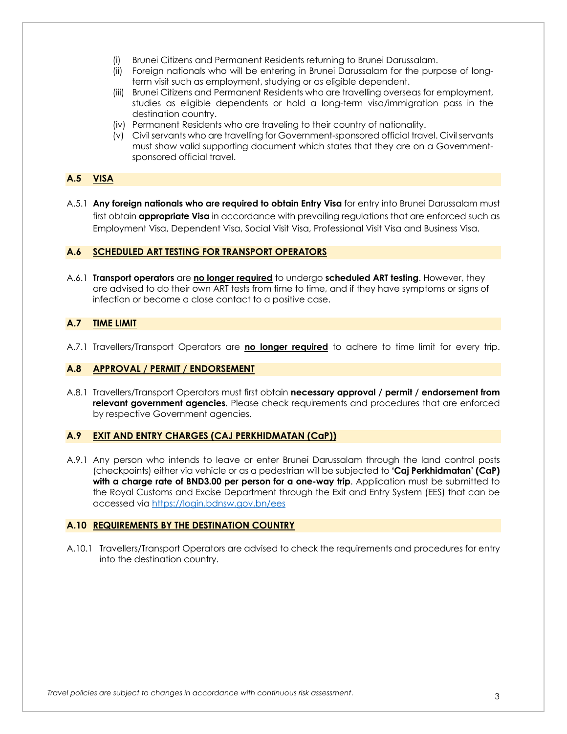- (i) Brunei Citizens and Permanent Residents returning to Brunei Darussalam.
- (ii) Foreign nationals who will be entering in Brunei Darussalam for the purpose of longterm visit such as employment, studying or as eligible dependent.
- (iii) Brunei Citizens and Permanent Residents who are travelling overseas for employment, studies as eligible dependents or hold a long-term visa/immigration pass in the destination country.
- (iv) Permanent Residents who are traveling to their country of nationality.
- (v) Civil servants who are travelling for Government-sponsored official travel. Civil servants must show valid supporting document which states that they are on a Governmentsponsored official travel.

## **A.5 VISA**

A.5.1 **Any foreign nationals who are required to obtain Entry Visa** for entry into Brunei Darussalam must first obtain **appropriate Visa** in accordance with prevailing regulations that are enforced such as Employment Visa, Dependent Visa, Social Visit Visa, Professional Visit Visa and Business Visa.

## **A.6 SCHEDULED ART TESTING FOR TRANSPORT OPERATORS**

A.6.1 **Transport operators** are **no longer required** to undergo **scheduled ART testing**. However, they are advised to do their own ART tests from time to time, and if they have symptoms or signs of infection or become a close contact to a positive case.

## **A.7 TIME LIMIT**

A.7.1 Travellers/Transport Operators are **no longer required** to adhere to time limit for every trip.

### **A.8 APPROVAL / PERMIT / ENDORSEMENT**

A.8.1 Travellers/Transport Operators must first obtain **necessary approval / permit / endorsement from relevant government agencies**. Please check requirements and procedures that are enforced by respective Government agencies.

### **A.9 EXIT AND ENTRY CHARGES (CAJ PERKHIDMATAN (CaP))**

A.9.1 Any person who intends to leave or enter Brunei Darussalam through the land control posts (checkpoints) either via vehicle or as a pedestrian will be subjected to **'Caj Perkhidmatan' (CaP) with a charge rate of BND3.00 per person for a one-way trip**. Application must be submitted to the Royal Customs and Excise Department through the Exit and Entry System (EES) that can be accessed via https://login.bdnsw.gov.bn/ees

### **A.10 REQUIREMENTS BY THE DESTINATION COUNTRY**

A.10.1 Travellers/Transport Operators are advised to check the requirements and procedures for entry into the destination country.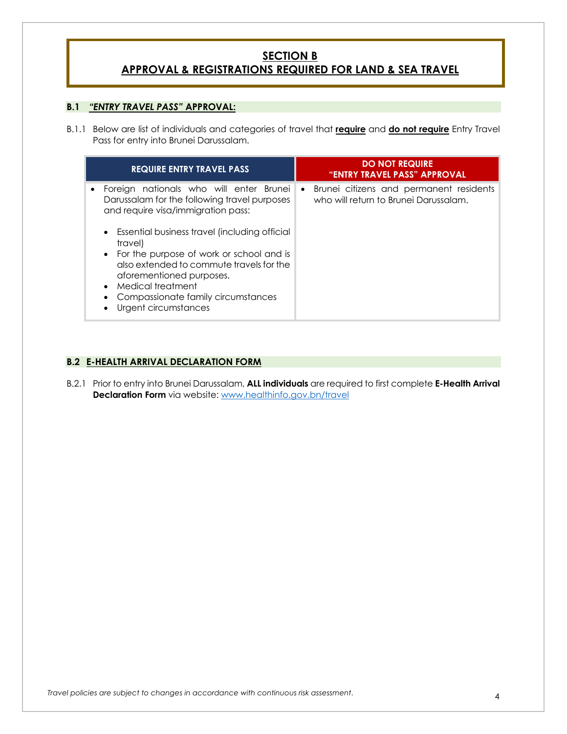# **SECTION B APPROVAL & REGISTRATIONS REQUIRED FOR LAND & SEA TRAVEL**

# **B.1** *"ENTRY TRAVEL PASS"* **APPROVAL:**

B.1.1 Below are list of individuals and categories of travel that **require** and **do not require** Entry Travel Pass for entry into Brunei Darussalam.

|   | <b>REQUIRE ENTRY TRAVEL PASS</b>                                                                                                                                                                                                                                                                                                                                                                     | <b>DO NOT REQUIRE</b><br>"ENTRY TRAVEL PASS" APPROVAL                                         |
|---|------------------------------------------------------------------------------------------------------------------------------------------------------------------------------------------------------------------------------------------------------------------------------------------------------------------------------------------------------------------------------------------------------|-----------------------------------------------------------------------------------------------|
| ٠ | Foreign nationals who will enter Brunei<br>Darussalam for the following travel purposes<br>and require visa/immigration pass:<br>Essential business travel (including official<br>$\bullet$<br>travel)<br>• For the purpose of work or school and is<br>also extended to commute travels for the<br>aforementioned purposes.<br>Medical treatment<br>$\bullet$<br>Compassionate family circumstances | Brunei citizens and permanent residents<br>$\bullet$<br>who will return to Brunei Darussalam. |
|   | Urgent circumstances                                                                                                                                                                                                                                                                                                                                                                                 |                                                                                               |

# **B.2 E-HEALTH ARRIVAL DECLARATION FORM**

B.2.1 Prior to entry into Brunei Darussalam, **ALL individuals** are required to first complete **E-Health Arrival Declaration Form** via website: www.healthinfo.gov.bn/travel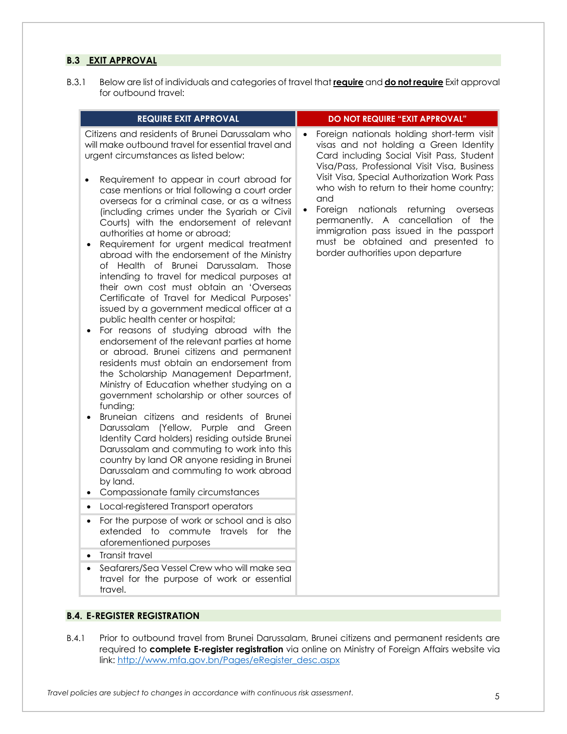# **B.3 EXIT APPROVAL**

B.3.1 Below are list of individuals and categories of travel that **require** and **do not require** Exit approval for outbound travel:

| <b>REQUIRE EXIT APPROVAL</b>                                                                                                                                                                                                                                                                                                                                                                                                                                                                                                                                                                                                                                                                                                                                                                                                                                                                                                                                                                                                                                                                                                                                                                                                                                                                                                                                                                                                                                                                                                                                                                                                                                                                                                                                                                 | DO NOT REQUIRE "EXIT APPROVAL"                                                                                                                                                                                                                                                                                                                                                                                                                                                             |
|----------------------------------------------------------------------------------------------------------------------------------------------------------------------------------------------------------------------------------------------------------------------------------------------------------------------------------------------------------------------------------------------------------------------------------------------------------------------------------------------------------------------------------------------------------------------------------------------------------------------------------------------------------------------------------------------------------------------------------------------------------------------------------------------------------------------------------------------------------------------------------------------------------------------------------------------------------------------------------------------------------------------------------------------------------------------------------------------------------------------------------------------------------------------------------------------------------------------------------------------------------------------------------------------------------------------------------------------------------------------------------------------------------------------------------------------------------------------------------------------------------------------------------------------------------------------------------------------------------------------------------------------------------------------------------------------------------------------------------------------------------------------------------------------|--------------------------------------------------------------------------------------------------------------------------------------------------------------------------------------------------------------------------------------------------------------------------------------------------------------------------------------------------------------------------------------------------------------------------------------------------------------------------------------------|
| Citizens and residents of Brunei Darussalam who<br>will make outbound travel for essential travel and<br>urgent circumstances as listed below:<br>Requirement to appear in court abroad for<br>$\bullet$<br>case mentions or trial following a court order<br>overseas for a criminal case, or as a witness<br>(including crimes under the Syariah or Civil<br>Courts) with the endorsement of relevant<br>authorities at home or abroad;<br>Requirement for urgent medical treatment<br>abroad with the endorsement of the Ministry<br>of Health of Brunei Darussalam. Those<br>intending to travel for medical purposes at<br>their own cost must obtain an 'Overseas<br>Certificate of Travel for Medical Purposes'<br>issued by a government medical officer at a<br>public health center or hospital;<br>For reasons of studying abroad with the<br>$\bullet$<br>endorsement of the relevant parties at home<br>or abroad. Brunei citizens and permanent<br>residents must obtain an endorsement from<br>the Scholarship Management Department,<br>Ministry of Education whether studying on a<br>government scholarship or other sources of<br>funding;<br>Bruneian citizens and residents of Brunei<br>Darussalam (Yellow, Purple and Green<br>Identity Card holders) residing outside Brunei<br>Darussalam and commuting to work into this<br>country by land OR anyone residing in Brunei<br>Darussalam and commuting to work abroad<br>by land.<br>Compassionate family circumstances<br>Local-registered Transport operators<br>For the purpose of work or school and is also<br>extended to commute travels for the<br>aforementioned purposes<br><b>Transit travel</b><br>Seafarers/Sea Vessel Crew who will make sea<br>travel for the purpose of work or essential<br>travel. | Foreign nationals holding short-term visit<br>visas and not holding a Green Identity<br>Card including Social Visit Pass, Student<br>Visa/Pass, Professional Visit Visa, Business<br>Visit Visa, Special Authorization Work Pass<br>who wish to return to their home country;<br>and<br>Foreign nationals returning<br>overseas<br>permanently. A cancellation of the<br>immigration pass issued in the passport<br>must be obtained and presented to<br>border authorities upon departure |

B.4.1 Prior to outbound travel from Brunei Darussalam, Brunei citizens and permanent residents are required to **complete E-register registration** via online on Ministry of Foreign Affairs website via link: http://www.mfa.gov.bn/Pages/eRegister\_desc.aspx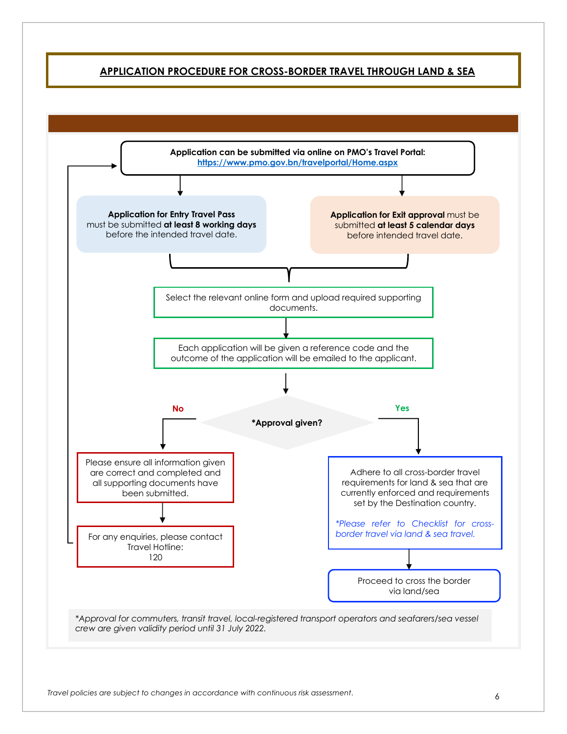# **APPLICATION PROCEDURE FOR CROSS-BORDER TRAVEL THROUGH LAND & SEA**